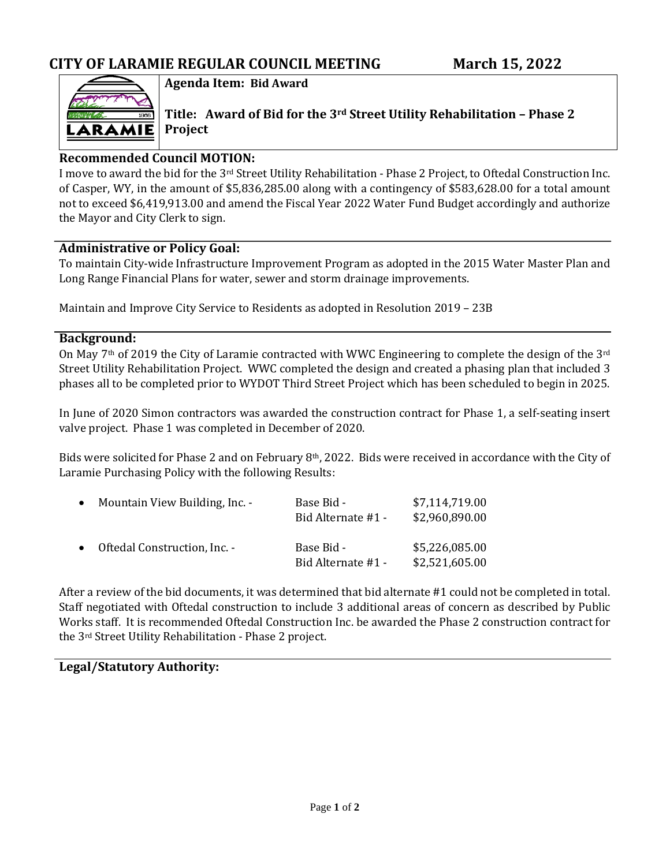

**Agenda Item: Bid Award**

**Title: Award of Bid for the 3rd Street Utility Rehabilitation – Phase 2 Project**

### **Recommended Council MOTION:**

I move to award the bid for the 3rd Street Utility Rehabilitation - Phase 2 Project, to Oftedal Construction Inc. of Casper, WY, in the amount of \$5,836,285.00 along with a contingency of \$583,628.00 for a total amount not to exceed \$6,419,913.00 and amend the Fiscal Year 2022 Water Fund Budget accordingly and authorize the Mayor and City Clerk to sign.

### **Administrative or Policy Goal:**

To maintain City-wide Infrastructure Improvement Program as adopted in the 2015 Water Master Plan and Long Range Financial Plans for water, sewer and storm drainage improvements.

Maintain and Improve City Service to Residents as adopted in Resolution 2019 – 23B

#### **Background:**

On May 7<sup>th</sup> of 2019 the City of Laramie contracted with WWC Engineering to complete the design of the 3<sup>rd</sup> Street Utility Rehabilitation Project. WWC completed the design and created a phasing plan that included 3 phases all to be completed prior to WYDOT Third Street Project which has been scheduled to begin in 2025.

In June of 2020 Simon contractors was awarded the construction contract for Phase 1, a self-seating insert valve project. Phase 1 was completed in December of 2020.

Bids were solicited for Phase 2 and on February 8<sup>th</sup>, 2022. Bids were received in accordance with the City of Laramie Purchasing Policy with the following Results:

| $\bullet$ | Mountain View Building, Inc. - | Base Bid -<br>Bid Alternate #1 - | \$7,114,719.00<br>\$2,960,890.00 |
|-----------|--------------------------------|----------------------------------|----------------------------------|
|           | • Oftedal Construction, Inc. - | Base Bid -<br>Bid Alternate #1 - | \$5,226,085.00<br>\$2,521,605.00 |

After a review of the bid documents, it was determined that bid alternate #1 could not be completed in total. Staff negotiated with Oftedal construction to include 3 additional areas of concern as described by Public Works staff. It is recommended Oftedal Construction Inc. be awarded the Phase 2 construction contract for the 3rd Street Utility Rehabilitation - Phase 2 project.

### **Legal/Statutory Authority:**